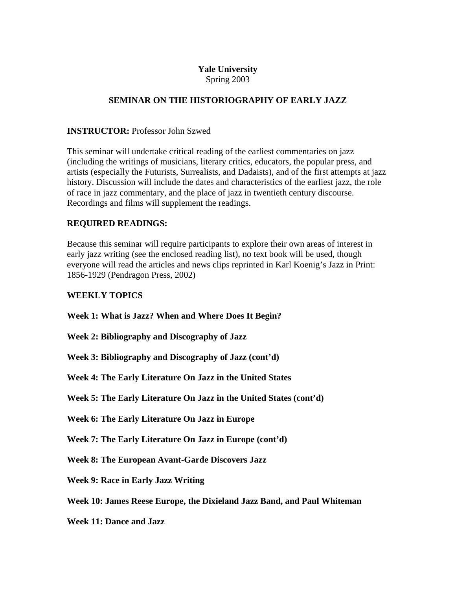# **Yale University**

Spring 2003

# **SEMINAR ON THE HISTORIOGRAPHY OF EARLY JAZZ**

### **INSTRUCTOR:** Professor John Szwed

This seminar will undertake critical reading of the earliest commentaries on jazz (including the writings of musicians, literary critics, educators, the popular press, and artists (especially the Futurists, Surrealists, and Dadaists), and of the first attempts at jazz history. Discussion will include the dates and characteristics of the earliest jazz, the role of race in jazz commentary, and the place of jazz in twentieth century discourse. Recordings and films will supplement the readings.

## **REQUIRED READINGS:**

Because this seminar will require participants to explore their own areas of interest in early jazz writing (see the enclosed reading list), no text book will be used, though everyone will read the articles and news clips reprinted in Karl Koenig's Jazz in Print: 1856-1929 (Pendragon Press, 2002)

## **WEEKLY TOPICS**

**Week 1: What is Jazz? When and Where Does It Begin?** 

**Week 2: Bibliography and Discography of Jazz** 

**Week 3: Bibliography and Discography of Jazz (cont'd)** 

**Week 4: The Early Literature On Jazz in the United States** 

**Week 5: The Early Literature On Jazz in the United States (cont'd)** 

**Week 6: The Early Literature On Jazz in Europe** 

**Week 7: The Early Literature On Jazz in Europe (cont'd)** 

**Week 8: The European Avant-Garde Discovers Jazz** 

**Week 9: Race in Early Jazz Writing** 

**Week 10: James Reese Europe, the Dixieland Jazz Band, and Paul Whiteman** 

**Week 11: Dance and Jazz**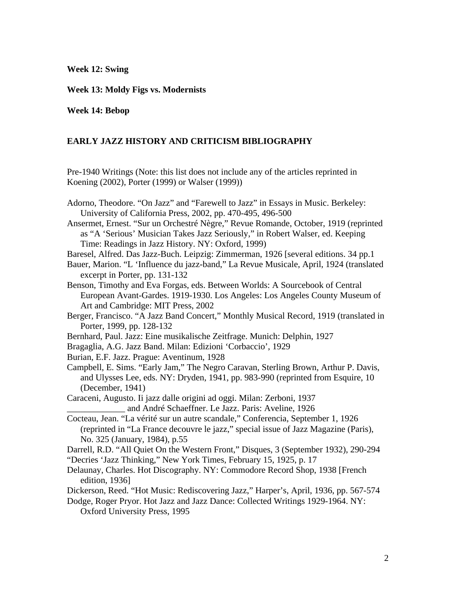**Week 12: Swing** 

**Week 13: Moldy Figs vs. Modernists** 

**Week 14: Bebop** 

### **EARLY JAZZ HISTORY AND CRITICISM BIBLIOGRAPHY**

Pre-1940 Writings (Note: this list does not include any of the articles reprinted in Koening (2002), Porter (1999) or Walser (1999))

Adorno, Theodore. "On Jazz" and "Farewell to Jazz" in Essays in Music. Berkeley: University of California Press, 2002, pp. 470-495, 496-500

Ansermet, Ernest. "Sur un Orchestré Nègre," Revue Romande, October, 1919 (reprinted as "A 'Serious' Musician Takes Jazz Seriously," in Robert Walser, ed. Keeping Time: Readings in Jazz History. NY: Oxford, 1999)

Baresel, Alfred. Das Jazz-Buch. Leipzig: Zimmerman, 1926 [several editions. 34 pp.1

Bauer, Marion. "L 'Influence du jazz-band," La Revue Musicale, April, 1924 (translated excerpt in Porter, pp. 131-132

Benson, Timothy and Eva Forgas, eds. Between Worlds: A Sourcebook of Central European Avant-Gardes. 1919-1930. Los Angeles: Los Angeles County Museum of Art and Cambridge: MIT Press, 2002

Berger, Francisco. "A Jazz Band Concert," Monthly Musical Record, 1919 (translated in Porter, 1999, pp. 128-132

Bernhard, Paul. Jazz: Eine musikalische Zeitfrage. Munich: Delphin, 1927

Bragaglia, A.G. Jazz Band. Milan: Edizioni 'Corbaccio', 1929

Burian, E.F. Jazz. Prague: Aventinum, 1928

Campbell, E. Sims. "Early Jam," The Negro Caravan, Sterling Brown, Arthur P. Davis, and Ulysses Lee, eds. NY: Dryden, 1941, pp. 983-990 (reprinted from Esquire, 10 (December, 1941)

Caraceni, Augusto. Ii jazz dalle origini ad oggi. Milan: Zerboni, 1937 \_\_\_\_\_\_\_\_\_\_\_\_\_ and André Schaeffner. Le Jazz. Paris: Aveline, 1926

Cocteau, Jean. "La vérité sur un autre scandale," Conferencia, September 1, 1926 (reprinted in "La France decouvre le jazz," special issue of Jazz Magazine (Paris), No. 325 (January, 1984), p.55

Darrell, R.D. "All Quiet On the Western Front," Disques, 3 (September 1932), 290-294 "Decries 'Jazz Thinking," New York Times, February 15, 1925, p. 17

Delaunay, Charles. Hot Discography. NY: Commodore Record Shop, 1938 [French edition, 1936]

Dickerson, Reed. "Hot Music: Rediscovering Jazz," Harper's, April, 1936, pp. 567-574

Dodge, Roger Pryor. Hot Jazz and Jazz Dance: Collected Writings 1929-1964. NY: Oxford University Press, 1995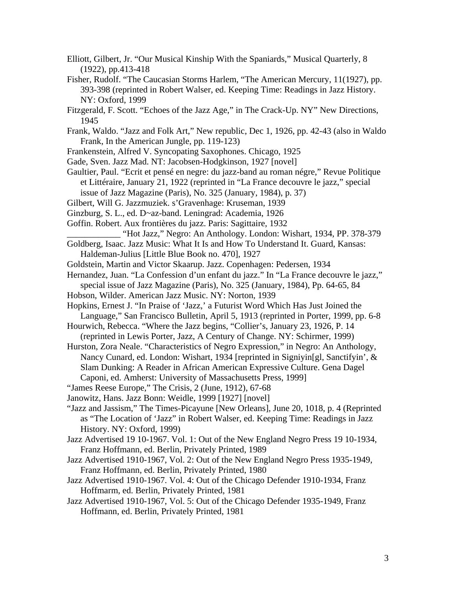- Elliott, Gilbert, Jr. "Our Musical Kinship With the Spaniards," Musical Quarterly, 8 (1922), pp.413-418
- Fisher, Rudolf. "The Caucasian Storms Harlem, "The American Mercury, 11(1927), pp. 393-398 (reprinted in Robert Walser, ed. Keeping Time: Readings in Jazz History. NY: Oxford, 1999
- Fitzgerald, F. Scott. "Echoes of the Jazz Age," in The Crack-Up. NY" New Directions, 1945
- Frank, Waldo. "Jazz and Folk Art," New republic, Dec 1, 1926, pp. 42-43 (also in Waldo Frank, In the American Jungle, pp. 119-123)
- Frankenstein, Alfred V. Syncopating Saxophones. Chicago, 1925
- Gade, Sven. Jazz Mad. NT: Jacobsen-Hodgkinson, 1927 [novel]
- Gaultier, Paul. "Ecrit et pensé en negre: du jazz-band au roman négre," Revue Politique et Littéraire, January 21, 1922 (reprinted in "La France decouvre le jazz," special issue of Jazz Magazine (Paris), No. 325 (January, 1984), p. 37)
- Gilbert, Will G. Jazzmuziek. s'Gravenhage: Kruseman, 1939
- Ginzburg, S. L., ed. D~az-band. Leningrad: Academia, 1926
- Goffin. Robert. Aux frontières du jazz. Paris: Sagittaire, 1932
	- \_\_\_\_\_\_\_\_\_\_\_\_ "Hot Jazz," Negro: An Anthology. London: Wishart, 1934, PP. 378-379
- Goldberg, Isaac. Jazz Music: What It Is and How To Understand It. Guard, Kansas: Haldeman-Julius [Little Blue Book no. 470], 1927
- Goldstein, Martin and Victor Skaarup. Jazz. Copenhagen: Pedersen, 1934
- Hernandez, Juan. "La Confession d'un enfant du jazz." In "La France decouvre le jazz," special issue of Jazz Magazine (Paris), No. 325 (January, 1984), Pp. 64-65, 84
- Hobson, Wilder. American Jazz Music. NY: Norton, 1939
- Hopkins, Ernest J. "In Praise of 'Jazz,' a Futurist Word Which Has Just Joined the Language," San Francisco Bulletin, April 5, 1913 (reprinted in Porter, 1999, pp. 6-8
- Hourwich, Rebecca. "Where the Jazz begins, "Collier's, January 23, 1926, P. 14 (reprinted in Lewis Porter, Jazz, A Century of Change. NY: Schirmer, 1999)
- Hurston, Zora Neale. "Characteristics of Negro Expression," in Negro: An Anthology, Nancy Cunard, ed. London: Wishart, 1934 [reprinted in Signiyin[gl, Sanctifyin', & Slam Dunking: A Reader in African American Expressive Culture. Gena Dagel Caponi, ed. Amherst: University of Massachusetts Press, 1999]
- "James Reese Europe," The Crisis, 2 (June, 1912), 67-68
- Janowitz, Hans. Jazz Bonn: Weidle, 1999 [1927] [novel]
- "Jazz and Jassism," The Times-Picayune [New Orleans], June 20, 1018, p. 4 (Reprinted as "The Location of 'Jazz" in Robert Walser, ed. Keeping Time: Readings in Jazz History. NY: Oxford, 1999)
- Jazz Advertised 19 10-1967. Vol. 1: Out of the New England Negro Press 19 10-1934, Franz Hoffmann, ed. Berlin, Privately Printed, 1989
- Jazz Advertised 1910-1967, Vol. 2: Out of the New England Negro Press 1935-1949, Franz Hoffmann, ed. Berlin, Privately Printed, 1980
- Jazz Advertised 1910-1967. Vol. 4: Out of the Chicago Defender 1910-1934, Franz Hoffmarm, ed. Berlin, Privately Printed, 1981
- Jazz Advertised 1910-1967, Vol. 5: Out of the Chicago Defender 1935-1949, Franz Hoffmann, ed. Berlin, Privately Printed, 1981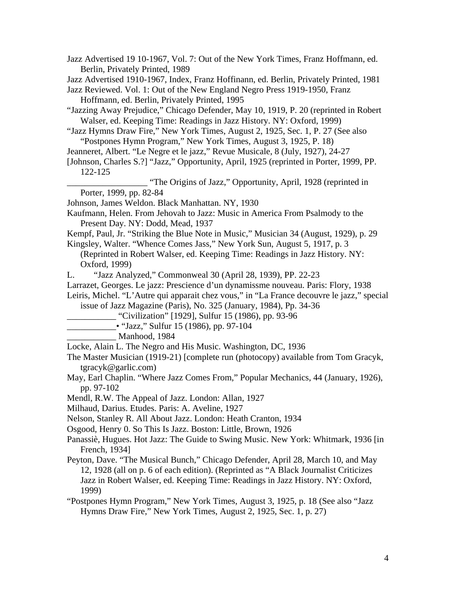Jazz Advertised 19 10-1967, Vol. 7: Out of the New York Times, Franz Hoffmann, ed. Berlin, Privately Printed, 1989

Jazz Advertised 1910-1967, Index, Franz Hoffinann, ed. Berlin, Privately Printed, 1981

Jazz Reviewed. Vol. 1: Out of the New England Negro Press 1919-1950, Franz Hoffmann, ed. Berlin, Privately Printed, 1995

"Jazzing Away Prejudice," Chicago Defender, May 10, 1919, P. 20 (reprinted in Robert Walser, ed. Keeping Time: Readings in Jazz History. NY: Oxford, 1999)

- "Jazz Hymns Draw Fire," New York Times, August 2, 1925, Sec. 1, P. 27 (See also "Postpones Hymn Program," New York Times, August 3, 1925, P. 18)
- Jeanneret, Albert. "Le Negre et le jazz," Revue Musicale, 8 (July, 1927), 24-27
- [Johnson, Charles S.?] "Jazz," Opportunity, April, 1925 (reprinted in Porter, 1999, PP. 122-125

"The Origins of Jazz," Opportunity, April, 1928 (reprinted in Porter, 1999, pp. 82-84

Johnson, James Weldon. Black Manhattan. NY, 1930

- Kaufmann, Helen. From Jehovah to Jazz: Music in America From Psalmody to the Present Day. NY: Dodd, Mead, 1937
- Kempf, Paul, Jr. "Striking the Blue Note in Music," Musician 34 (August, 1929), p. 29 Kingsley, Walter. "Whence Comes Jass," New York Sun, August 5, 1917, p. 3

(Reprinted in Robert Walser, ed. Keeping Time: Readings in Jazz History. NY: Oxford, 1999)

- L. "Jazz Analyzed," Commonweal 30 (April 28, 1939), PP. 22-23
- Larrazet, Georges. Le jazz: Prescience d'un dynamissme nouveau. Paris: Flory, 1938
- Leiris, Michel. "L'Autre qui apparait chez vous," in "La France decouvre le jazz," special issue of Jazz Magazine (Paris), No. 325 (January, 1984), Pp. 34-36

\_\_\_\_\_\_\_\_\_\_\_ "Civilization" [1929], Sulfur 15 (1986), pp. 93-96

- \_\_\_\_\_\_\_\_\_\_\_• "Jazz," Sulfur 15 (1986), pp. 97-104
	- Manhood, 1984

Locke, Alain L. The Negro and His Music. Washington, DC, 1936

- The Master Musician (1919-21) [complete run (photocopy) available from Tom Gracyk, tgracyk@garlic.com)
- May, Earl Chaplin. "Where Jazz Comes From," Popular Mechanics, 44 (January, 1926), pp. 97-102
- Mendl, R.W. The Appeal of Jazz. London: Allan, 1927
- Milhaud, Darius. Etudes. Paris: A. Aveline, 1927

Nelson, Stanley R. All About Jazz. London: Heath Cranton, 1934

- Osgood, Henry 0. So This Is Jazz. Boston: Little, Brown, 1926
- Panassiè, Hugues. Hot Jazz: The Guide to Swing Music. New York: Whitmark, 1936 [in French, 1934]
- Peyton, Dave. "The Musical Bunch," Chicago Defender, April 28, March 10, and May 12, 1928 (all on p. 6 of each edition). (Reprinted as "A Black Journalist Criticizes Jazz in Robert Walser, ed. Keeping Time: Readings in Jazz History. NY: Oxford, 1999)

"Postpones Hymn Program," New York Times, August 3, 1925, p. 18 (See also "Jazz Hymns Draw Fire," New York Times, August 2, 1925, Sec. 1, p. 27)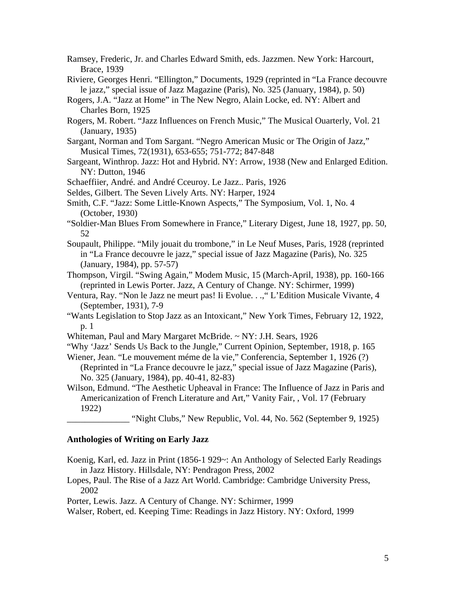Ramsey, Frederic, Jr. and Charles Edward Smith, eds. Jazzmen. New York: Harcourt, Brace, 1939

Riviere, Georges Henri. "Ellington," Documents, 1929 (reprinted in "La France decouvre le jazz," special issue of Jazz Magazine (Paris), No. 325 (January, 1984), p. 50)

- Rogers, J.A. "Jazz at Home" in The New Negro, Alain Locke, ed. NY: Albert and Charles Born, 1925
- Rogers, M. Robert. "Jazz Influences on French Music," The Musical Ouarterly, Vol. 21 (January, 1935)

Sargant, Norman and Tom Sargant. "Negro American Music or The Origin of Jazz," Musical Times, 72(1931), 653-655; 751-772; 847-848

Sargeant, Winthrop. Jazz: Hot and Hybrid. NY: Arrow, 1938 (New and Enlarged Edition. NY: Dutton, 1946

Schaeffiier, André. and André Cceuroy. Le Jazz.. Paris, 1926

Seldes, Gilbert. The Seven Lively Arts. NY: Harper, 1924

Smith, C.F. "Jazz: Some Little-Known Aspects," The Symposium, Vol. 1, No. 4 (October, 1930)

"Soldier-Man Blues From Somewhere in France," Literary Digest, June 18, 1927, pp. 50, 52

Soupault, Philippe. "Mily jouait du trombone," in Le Neuf Muses, Paris, 1928 (reprinted in "La France decouvre le jazz," special issue of Jazz Magazine (Paris), No. 325 (January, 1984), pp. 57-57)

Thompson, Virgil. "Swing Again," Modem Music, 15 (March-April, 1938), pp. 160-166 (reprinted in Lewis Porter. Jazz, A Century of Change. NY: Schirmer, 1999)

Ventura, Ray. "Non le Jazz ne meurt pas! Ii Evolue. . .," L'Edition Musicale Vivante, 4 (September, 1931), 7-9

"Wants Legislation to Stop Jazz as an Intoxicant," New York Times, February 12, 1922, p. 1

Whiteman, Paul and Mary Margaret McBride. ~ NY: J.H. Sears, 1926

"Why 'Jazz' Sends Us Back to the Jungle," Current Opinion, September, 1918, p. 165

Wiener, Jean. "Le mouvement méme de la vie," Conferencia, September 1, 1926 (?) (Reprinted in "La France decouvre le jazz," special issue of Jazz Magazine (Paris),

No. 325 (January, 1984), pp. 40-41, 82-83)

Wilson, Edmund. "The Aesthetic Upheaval in France: The Influence of Jazz in Paris and Americanization of French Literature and Art," Vanity Fair, , Vol. 17 (February 1922)

\_\_\_\_\_\_\_\_\_\_\_\_\_\_ "Night Clubs," New Republic, Vol. 44, No. 562 (September 9, 1925)

#### **Anthologies of Writing on Early Jazz**

Koenig, Karl, ed. Jazz in Print (1856-1 929~: An Anthology of Selected Early Readings in Jazz History. Hillsdale, NY: Pendragon Press, 2002

Lopes, Paul. The Rise of a Jazz Art World. Cambridge: Cambridge University Press, 2002

Porter, Lewis. Jazz. A Century of Change. NY: Schirmer, 1999

Walser, Robert, ed. Keeping Time: Readings in Jazz History. NY: Oxford, 1999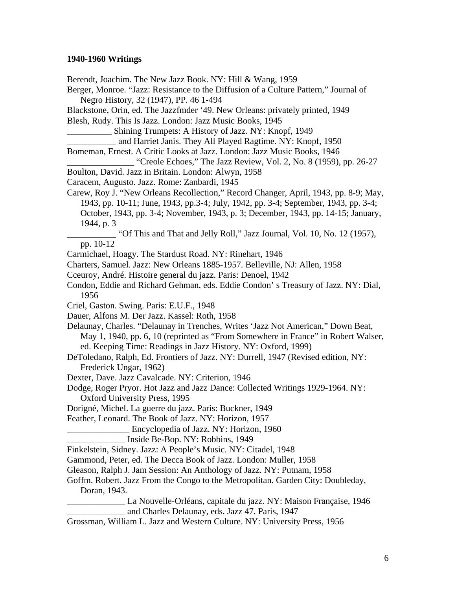#### **1940-1960 Writings**

Berendt, Joachim. The New Jazz Book. NY: Hill & Wang, 1959 Berger, Monroe. "Jazz: Resistance to the Diffusion of a Culture Pattern," Journal of Negro History, 32 (1947), PP. 46 1-494 Blackstone, Orin, ed. The Jazzfmder '49. New Orleans: privately printed, 1949 Blesh, Rudy. This Is Jazz. London: Jazz Music Books, 1945 \_\_\_\_\_\_\_\_\_\_ Shining Trumpets: A History of Jazz. NY: Knopf, 1949 \_\_\_\_\_\_\_\_\_\_\_ and Harriet Janis. They All Played Ragtime. NY: Knopf, 1950 Bomeman, Ernest. A Critic Looks at Jazz. London: Jazz Music Books, 1946 "Creole Echoes," The Jazz Review, Vol. 2, No. 8 (1959), pp. 26-27 Boulton, David. Jazz in Britain. London: Alwyn, 1958 Caracem, Augusto. Jazz. Rome: Zanbardi, 1945 Carew, Roy J. "New Orleans Recollection," Record Changer, April, 1943, pp. 8-9; May, 1943, pp. 10-11; June, 1943, pp.3-4; July, 1942, pp. 3-4; September, 1943, pp. 3-4; October, 1943, pp. 3-4; November, 1943, p. 3; December, 1943, pp. 14-15; January, 1944, p. 3 \_\_\_\_\_\_\_\_\_\_\_ "Of This and That and Jelly Roll," Jazz Journal, Vol. 10, No. 12 (1957), pp. 10-12 Carmichael, Hoagy. The Stardust Road. NY: Rinehart, 1946 Charters, Samuel. Jazz: New Orleans 1885-1957. Belleville, NJ: Allen, 1958 Cceuroy, André. Histoire general du jazz. Paris: Denoel, 1942 Condon, Eddie and Richard Gehman, eds. Eddie Condon' s Treasury of Jazz. NY: Dial, 1956 Criel, Gaston. Swing. Paris: E.U.F., 1948 Dauer, Alfons M. Der Jazz. Kassel: Roth, 1958 Delaunay, Charles. "Delaunay in Trenches, Writes 'Jazz Not American," Down Beat, May 1, 1940, pp. 6, 10 (reprinted as "From Somewhere in France" in Robert Walser, ed. Keeping Time: Readings in Jazz History. NY: Oxford, 1999) DeToledano, Ralph, Ed. Frontiers of Jazz. NY: Durrell, 1947 (Revised edition, NY: Frederick Ungar, 1962) Dexter, Dave. Jazz Cavalcade. NY: Criterion, 1946 Dodge, Roger Pryor. Hot Jazz and Jazz Dance: Collected Writings 1929-1964. NY: Oxford University Press, 1995 Dorigné, Michel. La guerre du jazz. Paris: Buckner, 1949 Feather, Leonard. The Book of Jazz. NY: Horizon, 1957 Encyclopedia of Jazz. NY: Horizon, 1960 \_\_\_\_\_\_\_\_\_\_\_\_\_ Inside Be-Bop. NY: Robbins, 1949 Finkelstein, Sidney. Jazz: A People's Music. NY: Citadel, 1948 Gammond, Peter, ed. The Decca Book of Jazz. London: Muller, 1958 Gleason, Ralph J. Jam Session: An Anthology of Jazz. NY: Putnam, 1958 Goffm. Robert. Jazz From the Congo to the Metropolitan. Garden City: Doubleday, Doran, 1943. \_\_\_\_\_\_\_\_\_\_\_\_\_ La Nouvelle-Orléans, capitale du jazz. NY: Maison Française, 1946 \_\_\_\_\_\_\_\_\_\_\_\_\_ and Charles Delaunay, eds. Jazz 47. Paris, 1947 Grossman, William L. Jazz and Western Culture. NY: University Press, 1956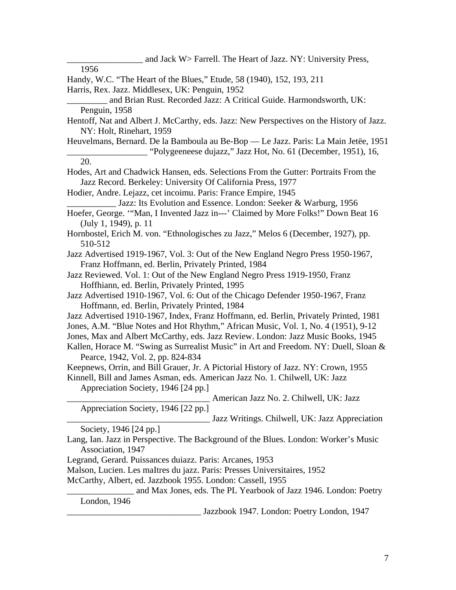and Jack W> Farrell. The Heart of Jazz. NY: University Press, 1956 Handy, W.C. "The Heart of the Blues," Etude, 58 (1940), 152, 193, 211 Harris, Rex. Jazz. Middlesex, UK: Penguin, 1952 and Brian Rust. Recorded Jazz: A Critical Guide. Harmondsworth, UK: Penguin, 1958 Hentoff, Nat and Albert J. McCarthy, eds. Jazz: New Perspectives on the History of Jazz. NY: Holt, Rinehart, 1959 Heuvelmans, Bernard. De la Bamboula au Be-Bop — Le Jazz. Paris: La Main Jetëe, 1951 \_\_\_\_\_\_\_\_\_\_\_\_\_\_\_\_\_\_ "Polygeeneese dujazz," Jazz Hot, No. 61 (December, 1951), 16, 20. Hodes, Art and Chadwick Hansen, eds. Selections From the Gutter: Portraits From the Jazz Record. Berkeley: University Of California Press, 1977 Hodier, Andre. Lejazz, cet incoimu. Paris: France Empire, 1945 \_\_\_\_\_\_\_\_\_\_\_ Jazz: Its Evolution and Essence. London: Seeker & Warburg, 1956 Hoefer, George. '"Man, I Invented Jazz in---' Claimed by More Folks!" Down Beat 16 (July 1, 1949), p. 11 Hornbostel, Erich M. von. "Ethnologisches zu Jazz," Melos 6 (December, 1927), pp. 510-512 Jazz Advertised 1919-1967, Vol. 3: Out of the New England Negro Press 1950-1967, Franz Hoffmann, ed. Berlin, Privately Printed, 1984 Jazz Reviewed. Vol. 1: Out of the New England Negro Press 1919-1950, Franz Hoffhiann, ed. Berlin, Privately Printed, 1995 Jazz Advertised 1910-1967, Vol. 6: Out of the Chicago Defender 1950-1967, Franz Hoffmann, ed. Berlin, Privately Printed, 1984 Jazz Advertised 1910-1967, Index, Franz Hoffmann, ed. Berlin, Privately Printed, 1981 Jones, A.M. "Blue Notes and Hot Rhythm," African Music, Vol. 1, No. 4 (1951), 9-12 Jones, Max and Albert McCarthy, eds. Jazz Review. London: Jazz Music Books, 1945 Kallen, Horace M. "Swing as Surrealist Music" in Art and Freedom. NY: Duell, Sloan & Pearce, 1942, Vol. 2, pp. 824-834 Keepnews, Orrin, and Bill Grauer, Jr. A Pictorial History of Jazz. NY: Crown, 1955 Kinnell, Bill and James Asman, eds. American Jazz No. 1. Chilwell, UK: Jazz Appreciation Society, 1946 [24 pp.] American Jazz No. 2. Chilwell, UK: Jazz Appreciation Society, 1946 [22 pp.] Jazz Writings. Chilwell, UK: Jazz Appreciation Society, 1946 [24 pp.] Lang, Ian. Jazz in Perspective. The Background of the Blues. London: Worker's Music Association, 1947 Legrand, Gerard. Puissances duiazz. Paris: Arcanes, 1953 Malson, Lucien. Les maItres du jazz. Paris: Presses Universitaires, 1952 McCarthy, Albert, ed. Jazzbook 1955. London: Cassell, 1955 and Max Jones, eds. The PL Yearbook of Jazz 1946. London: Poetry London, 1946

\_\_\_\_\_\_\_\_\_\_\_\_\_\_\_\_\_\_\_\_\_\_\_\_\_\_\_\_\_\_ Jazzbook 1947. London: Poetry London, 1947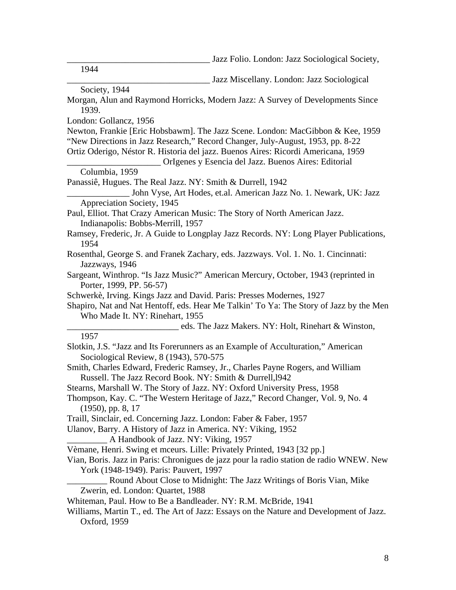Jazz Folio. London: Jazz Sociological Society,

1944

Jazz Miscellany. London: Jazz Sociological

Society, 1944

- Morgan, Alun and Raymond Horricks, Modern Jazz: A Survey of Developments Since 1939.
- London: Gollancz, 1956

Newton, Frankie [Eric Hobsbawm]. The Jazz Scene. London: MacGibbon & Kee, 1959 "New Directions in Jazz Research," Record Changer, July-August, 1953, pp. 8-22 Ortiz Oderigo, Néstor R. Historia del jazz. Buenos Aires: Ricordi Americana, 1959

\_\_\_\_\_\_\_\_\_\_\_\_\_\_\_\_\_\_\_\_\_ OrIgenes y Esencia del Jazz. Buenos Aires: Editorial

```
Columbia, 1959
```
Panassiê, Hugues. The Real Jazz. NY: Smith & Durrell, 1942

John Vyse, Art Hodes, et.al. American Jazz No. 1. Newark, UK: Jazz Appreciation Society, 1945

Paul, Elliot. That Crazy American Music: The Story of North American Jazz. Indianapolis: Bobbs-Merrill, 1957

- Ramsey, Frederic, Jr. A Guide to Longplay Jazz Records. NY: Long Player Publications, 1954
- Rosenthal, George S. and Franek Zachary, eds. Jazzways. Vol. 1. No. 1. Cincinnati: Jazzways, 1946
- Sargeant, Winthrop. "Is Jazz Music?" American Mercury, October, 1943 (reprinted in Porter, 1999, PP. 56-57)
- Schwerkè, Irving. Kings Jazz and David. Paris: Presses Modernes, 1927

Shapiro, Nat and Nat Hentoff, eds. Hear Me Talkin' To Ya: The Story of Jazz by the Men Who Made It. NY: Rinehart, 1955

eds. The Jazz Makers. NY: Holt, Rinehart & Winston,

#### 1957

- Slotkin, J.S. "Jazz and Its Forerunners as an Example of Acculturation," American Sociological Review, 8 (1943), 570-575
- Smith, Charles Edward, Frederic Ramsey, Jr., Charles Payne Rogers, and William Russell. The Jazz Record Book. NY: Smith & Durrell,l942
- Stearns, Marshall W. The Story of Jazz. NY: Oxford University Press, 1958

- Traill, Sinclair, ed. Concerning Jazz. London: Faber & Faber, 1957
- Ulanov, Barry. A History of Jazz in America. NY: Viking, 1952

A Handbook of Jazz. NY: Viking, 1957

Vèmane, Henri. Swing et mceurs. Lille: Privately Printed, 1943 [32 pp.]

- Vian, Boris. Jazz in Paris: Chronigues de jazz pour la radio station de radio WNEW. New York (1948-1949). Paris: Pauvert, 1997
- \_\_\_\_\_\_\_\_\_ Round About Close to Midnight: The Jazz Writings of Boris Vian, Mike Zwerin, ed. London: Quartet, 1988

Whiteman, Paul. How to Be a Bandleader. NY: R.M. McBride, 1941

Williams, Martin T., ed. The Art of Jazz: Essays on the Nature and Development of Jazz. Oxford, 1959

Thompson, Kay. C. "The Western Heritage of Jazz," Record Changer, Vol. 9, No. 4 (1950), pp. 8, 17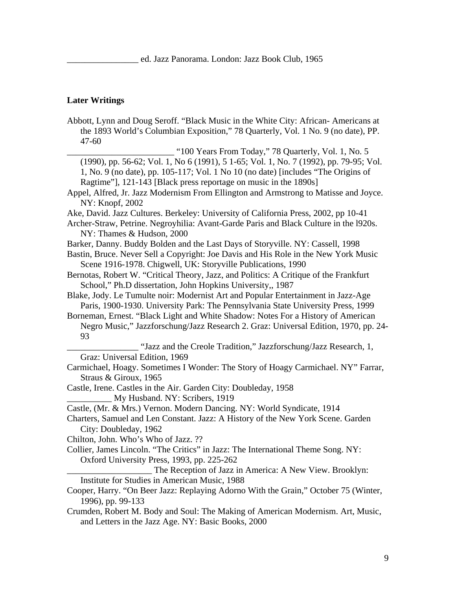#### **Later Writings**

Abbott, Lynn and Doug Seroff. "Black Music in the White City: African- Americans at the 1893 World's Columbian Exposition," 78 Quarterly, Vol. 1 No. 9 (no date), PP. 47-60 \_\_\_\_\_\_\_\_\_\_\_\_\_\_\_\_\_\_\_\_\_\_\_\_ "100 Years From Today," 78 Quarterly, Vol. 1, No. 5 (1990), pp. 56-62; Vol. 1, No 6 (1991), 5 1-65; Vol. 1, No. 7 (1992), pp. 79-95; Vol. 1, No. 9 (no date), pp. 105-117; Vol. 1 No 10 (no date) [includes "The Origins of Ragtime"], 121-143 [Black press reportage on music in the 1890s] Appel, Alfred, Jr. Jazz Modernism From Ellington and Armstrong to Matisse and Joyce. NY: Knopf, 2002 Ake, David. Jazz Cultures. Berkeley: University of California Press, 2002, pp 10-41 Archer-Straw, Petrine. Negroyhilia: Avant-Garde Paris and Black Culture in the l920s. NY: Thames & Hudson, 2000 Barker, Danny. Buddy Bolden and the Last Days of Storyville. NY: Cassell, 1998 Bastin, Bruce. Never Sell a Copyright: Joe Davis and His Role in the New York Music Scene 1916-1978. Chigwell, UK: Storyville Publications, 1990 Bernotas, Robert W. "Critical Theory, Jazz, and Politics: A Critique of the Frankfurt School," Ph.D dissertation, John Hopkins University,, 1987 Blake, Jody. Le Tumulte noir: Modernist Art and Popular Entertainment in Jazz-Age Paris, 1900-1930. University Park: The Pennsylvania State University Press, 1999 Borneman, Ernest. "Black Light and White Shadow: Notes For a History of American Negro Music," Jazzforschung/Jazz Research 2. Graz: Universal Edition, 1970, pp. 24- 93 "Jazz and the Creole Tradition," Jazzforschung/Jazz Research, 1, Graz: Universal Edition, 1969 Carmichael, Hoagy. Sometimes I Wonder: The Story of Hoagy Carmichael. NY" Farrar, Straus & Giroux, 1965 Castle, Irene. Castles in the Air. Garden City: Doubleday, 1958 My Husband. NY: Scribers, 1919 Castle, (Mr. & Mrs.) Vernon. Modern Dancing. NY: World Syndicate, 1914 Charters, Samuel and Len Constant. Jazz: A History of the New York Scene. Garden City: Doubleday, 1962 Chilton, John. Who's Who of Jazz. ?? Collier, James Lincoln. "The Critics" in Jazz: The International Theme Song. NY: Oxford University Press, 1993, pp. 225-262 \_\_\_\_\_\_\_\_\_\_\_\_\_\_\_\_\_\_\_ The Reception of Jazz in America: A New View. Brooklyn: Institute for Studies in American Music, 1988 Cooper, Harry. "On Beer Jazz: Replaying Adorno With the Grain," October 75 (Winter, 1996), pp. 99-133 Crumden, Robert M. Body and Soul: The Making of American Modernism. Art, Music, and Letters in the Jazz Age. NY: Basic Books, 2000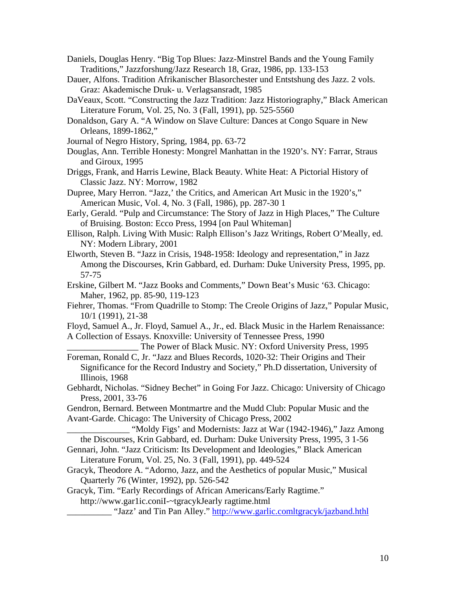- Daniels, Douglas Henry. "Big Top Blues: Jazz-Minstrel Bands and the Young Family Traditions," Jazzforshung/Jazz Research 18, Graz, 1986, pp. 133-153
- Dauer, Alfons. Tradition Afrikanischer Blasorchester und Entstshung des Jazz. 2 vols. Graz: Akademische Druk- u. Verlagsansradt, 1985
- DaVeaux, Scott. "Constructing the Jazz Tradition: Jazz Historiography," Black American Literature Forum, Vol. 25, No. 3 (Fall, 1991), pp. 525-5560
- Donaldson, Gary A. "A Window on Slave Culture: Dances at Congo Square in New Orleans, 1899-1862,"
- Journal of Negro History, Spring, 1984, pp. 63-72
- Douglas, Ann. Terrible Honesty: Mongrel Manhattan in the 1920's. NY: Farrar, Straus and Giroux, 1995
- Driggs, Frank, and Harris Lewine, Black Beauty. White Heat: A Pictorial History of Classic Jazz. NY: Morrow, 1982
- Dupree, Mary Herron. "Jazz,' the Critics, and American Art Music in the 1920's," American Music, Vol. 4, No. 3 (Fall, 1986), pp. 287-30 1
- Early, Gerald. "Pulp and Circumstance: The Story of Jazz in High Places," The Culture of Bruising. Boston: Ecco Press, 1994 [on Paul Whiteman]
- Ellison, Ralph. Living With Music: Ralph Ellison's Jazz Writings, Robert O'Meally, ed. NY: Modern Library, 2001
- Elworth, Steven B. "Jazz in Crisis, 1948-1958: Ideology and representation," in Jazz Among the Discourses, Krin Gabbard, ed. Durham: Duke University Press, 1995, pp. 57-75
- Erskine, Gilbert M. "Jazz Books and Comments," Down Beat's Music '63. Chicago: Maher, 1962, pp. 85-90, 119-123
- Fiehrer, Thomas. "From Quadrille to Stomp: The Creole Origins of Jazz," Popular Music, 10/1 (1991), 21-38
- Floyd, Samuel A., Jr. Floyd, Samuel A., Jr., ed. Black Music in the Harlem Renaissance: A Collection of Essays. Knoxville: University of Tennessee Press, 1990
- The Power of Black Music. NY: Oxford University Press, 1995 Foreman, Ronald C, Jr. "Jazz and Blues Records, 1020-32: Their Origins and Their
- Significance for the Record Industry and Society," Ph.D dissertation, University of Illinois, 1968
- Gebhardt, Nicholas. "Sidney Bechet" in Going For Jazz. Chicago: University of Chicago Press, 2001, 33-76
- Gendron, Bernard. Between Montmartre and the Mudd Club: Popular Music and the Avant-Garde. Chicago: The University of Chicago Press, 2002

\_\_\_\_\_\_\_\_\_\_\_\_\_\_ "Moldy Figs' and Modernists: Jazz at War (1942-1946)," Jazz Among the Discourses, Krin Gabbard, ed. Durham: Duke University Press, 1995, 3 1-56

- Gennari, John. "Jazz Criticism: Its Development and Ideologies," Black American Literature Forum, Vol. 25, No. 3 (Fall, 1991), pp. 449-524
- Gracyk, Theodore A. "Adorno, Jazz, and the Aesthetics of popular Music," Musical Quarterly 76 (Winter, 1992), pp. 526-542
- Gracyk, Tim. "Early Recordings of African Americans/Early Ragtime."

http://www.gar1ic.coniI-~tgracykJearly ragtime.html

\_ "Jazz' and Tin Pan Alley." <http://www.garlic.comltgracyk/jazband.hthl>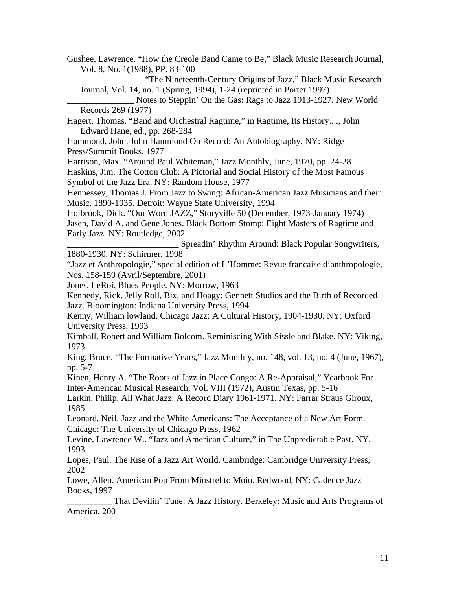Gushee, Lawrence. "How the Creole Band Came to Be," Black Music Research Journal, Vol. 8, No. 1(1988), PP. 83-100

\_\_\_\_\_\_\_\_\_\_\_\_\_\_\_\_\_ "The Nineteenth-Century Origins of Jazz," Black Music Research Journal, Vol. 14, no. 1 (Spring, 1994), 1-24 (reprinted in Porter 1997)

Notes to Steppin' On the Gas: Rags to Jazz 1913-1927. New World Records 269 (1977)

Hagert, Thomas. "Band and Orchestral Ragtime," in Ragtime, Its History.. ., John Edward Hane, ed., pp. 268-284

Hammond, John. John Hammond On Record: An Autobiography. NY: Ridge Press/Summit Books, 1977

Harrison, Max. "Around Paul Whiteman," Jazz Monthly, June, 1970, pp. 24-28

Haskins, Jim. The Cotton Club: A Pictorial and Social History of the Most Famous Symbol of the Jazz Era. NY: Random House, 1977

Hennessey, Thomas J. From Jazz to Swing: African-American Jazz Musicians and their Music, 1890-1935. Detroit: Wayne State University, 1994

Holbrook, Dick. "Our Word JAZZ," Storyville 50 (December, 1973-January 1974) Jasen, David A. and Gene Jones. Black Bottom Stomp: Eight Masters of Ragtime and Early Jazz. NY: Routledge, 2002

\_\_\_\_\_\_\_\_\_\_\_\_\_\_\_\_\_\_\_\_\_\_\_\_\_ Spreadin' Rhythm Around: Black Popular Songwriters, 1880-1930. NY: Schirmer, 1998

"Jazz et Anthropologie," special edition of L'Homme: Revue francaise d'anthropologie, Nos. 158-159 (Avril/Septembre, 2001)

Jones, LeRoi. Blues People. NY: Morrow, 1963

Kennedy, Rick. Jelly Roll, Bix, and Hoagy: Gennett Studios and the Birth of Recorded Jazz. Bloomington: Indiana University Press, 1994

Kenny, William lowland. Chicago Jazz: A Cultural History, 1904-1930. NY: Oxford University Press, 1993

Kimball, Robert and William Bolcom. Reminiscing With Sissle and Blake. NY: Viking, 1973

King, Bruce. "The Formative Years," Jazz Monthly, no. 148, vol. 13, no. 4 (June, 1967), pp. 5-7

Kinen, Henry A. "The Roots of Jazz in Place Congo: A Re-Appraisal," Yearbook For Inter-American Musical Research, Vol. VIII (1972), Austin Texas, pp. 5-16

Larkin, Philip. All What Jazz: A Record Diary 1961-1971. NY: Farrar Straus Giroux, 1985

Leonard, Neil. Jazz and the White Americans: The Acceptance of a New Art Form. Chicago: The University of Chicago Press, 1962

Levine, Lawrence W.. "Jazz and American Culture," in The Unpredictable Past. NY, 1993

Lopes, Paul. The Rise of a Jazz Art World. Cambridge: Cambridge University Press, 2002

Lowe, Allen. American Pop From Minstrel to Moio. Redwood, NY: Cadence Jazz Books, 1997

\_\_\_\_\_\_\_\_\_\_ That Devilin' Tune: A Jazz History. Berkeley: Music and Arts Programs of America, 2001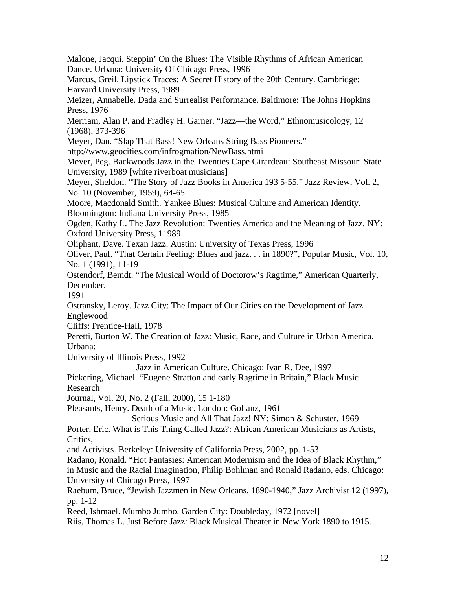Malone, Jacqui. Steppin' On the Blues: The Visible Rhythms of African American Dance. Urbana: University Of Chicago Press, 1996 Marcus, Greil. Lipstick Traces: A Secret History of the 20th Century. Cambridge: Harvard University Press, 1989 Meizer, Annabelle. Dada and Surrealist Performance. Baltimore: The Johns Hopkins Press, 1976 Merriam, Alan P. and Fradley H. Garner. "Jazz—the Word," Ethnomusicology, 12 (1968), 373-396 Meyer, Dan. "Slap That Bass! New Orleans String Bass Pioneers." http://www.geocities.com/infrogmation/NewBass.htmi Meyer, Peg. Backwoods Jazz in the Twenties Cape Girardeau: Southeast Missouri State University, 1989 [white riverboat musicians] Meyer, Sheldon. "The Story of Jazz Books in America 193 5-55," Jazz Review, Vol. 2, No. 10 (November, 1959), 64-65 Moore, Macdonald Smith. Yankee Blues: Musical Culture and American Identity. Bloomington: Indiana University Press, 1985 Ogden, Kathy L. The Jazz Revolution: Twenties America and the Meaning of Jazz. NY: Oxford University Press, 11989 Oliphant, Dave. Texan Jazz. Austin: University of Texas Press, 1996 Oliver, Paul. "That Certain Feeling: Blues and jazz. . . in 1890?", Popular Music, Vol. 10, No. 1 (1991), 11-19 Ostendorf, Bemdt. "The Musical World of Doctorow's Ragtime," American Quarterly, December, 1991 Ostransky, Leroy. Jazz City: The Impact of Our Cities on the Development of Jazz. Englewood Cliffs: Prentice-Hall, 1978 Peretti, Burton W. The Creation of Jazz: Music, Race, and Culture in Urban America. Urbana: University of Illinois Press, 1992 Jazz in American Culture. Chicago: Ivan R. Dee, 1997 Pickering, Michael. "Eugene Stratton and early Ragtime in Britain," Black Music Research Journal, Vol. 20, No. 2 (Fall, 2000), 15 1-180 Pleasants, Henry. Death of a Music. London: Gollanz, 1961 Serious Music and All That Jazz! NY: Simon & Schuster, 1969 Porter, Eric. What is This Thing Called Jazz?: African American Musicians as Artists, Critics, and Activists. Berkeley: University of California Press, 2002, pp. 1-53 Radano, Ronald. "Hot Fantasies: American Modernism and the Idea of Black Rhythm," in Music and the Racial Imagination, Philip Bohlman and Ronald Radano, eds. Chicago: University of Chicago Press, 1997 Raebum, Bruce, "Jewish Jazzmen in New Orleans, 1890-1940," Jazz Archivist 12 (1997), pp. 1-12 Reed, Ishmael. Mumbo Jumbo. Garden City: Doubleday, 1972 [novel]

Riis, Thomas L. Just Before Jazz: Black Musical Theater in New York 1890 to 1915.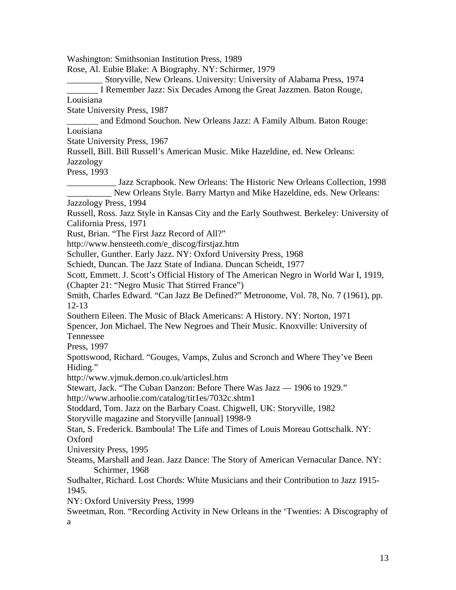Washington: Smithsonian Institution Press, 1989 Rose, Al. Eubie Blake: A Biography. NY: Schirmer, 1979 \_\_\_\_\_\_\_\_ Storyville, New Orleans. University: University of Alabama Press, 1974 \_\_\_\_\_\_\_ I Remember Jazz: Six Decades Among the Great Jazzmen. Baton Rouge, Louisiana State University Press, 1987 \_\_\_\_\_\_\_ and Edmond Souchon. New Orleans Jazz: A Family Album. Baton Rouge: Louisiana State University Press, 1967 Russell, Bill. Bill Russell's American Music. Mike Hazeldine, ed. New Orleans: **Jazzology** Press, 1993 \_\_\_\_\_\_\_\_\_\_\_ Jazz Scrapbook. New Orleans: The Historic New Orleans Collection, 1998 New Orleans Style. Barry Martyn and Mike Hazeldine, eds. New Orleans: Jazzology Press, 1994 Russell, Ross. Jazz Style in Kansas City and the Early Southwest. Berkeley: University of California Press, 1971 Rust, Brian. "The First Jazz Record of All?" http://www.hensteeth.com/e\_discog/firstjaz.htm Schuller, Gunther. Early Jazz. NY: Oxford University Press, 1968 Schiedt, Duncan. The Jazz State of Indiana. Duncan Scheidt, 1977 Scott, Emmett. J. Scott's Official History of The American Negro in World War I, 1919, (Chapter 21: "Negro Music That Stirred France") Smith, Charles Edward. "Can Jazz Be Defined?" Metronome, Vol. 78, No. 7 (1961), pp. 12-13 Southern Eileen. The Music of Black Americans: A History. NY: Norton, 1971 Spencer, Jon Michael. The New Negroes and Their Music. Knoxville: University of Tennessee Press, 1997 Spottswood, Richard. "Gouges, Vamps, Zulus and Scronch and Where They've Been Hiding." http://www.vjmuk.demon.co.uk/articlesl.htm Stewart, Jack. "The Cuban Danzon: Before There Was Jazz — 1906 to 1929." http://www.arhoolie.com/catalog/tit1es/7032c.shtm1 Stoddard, Tom. Jazz on the Barbary Coast. Chigwell, UK: Storyville, 1982 Storyville magazine and Storyville [annual] 1998-9 Stan, S. Frederick. Bamboula! The Life and Times of Louis Moreau Gottschalk. NY: Oxford University Press, 1995 Steams, Marshall and Jean. Jazz Dance: The Story of American Vernacular Dance. NY: Schirmer, 1968 Sudhalter, Richard. Lost Chords: White Musicians and their Contribution to Jazz 1915- 1945. NY: Oxford University Press, 1999 Sweetman, Ron. "Recording Activity in New Orleans in the 'Twenties: A Discography of a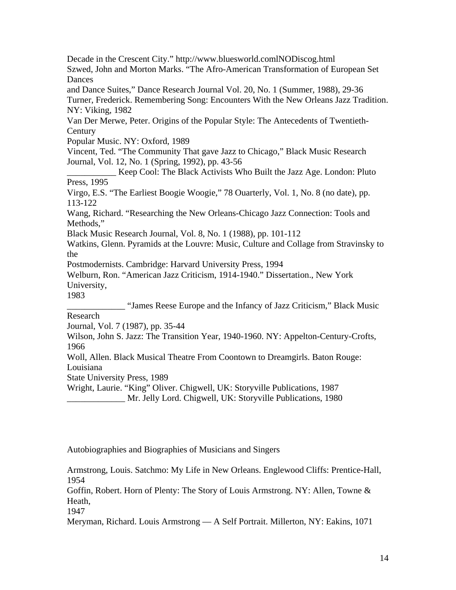Decade in the Crescent City." http://www.bluesworld.comlNODiscog.html Szwed, John and Morton Marks. "The Afro-American Transformation of European Set **Dances** 

and Dance Suites," Dance Research Journal Vol. 20, No. 1 (Summer, 1988), 29-36 Turner, Frederick. Remembering Song: Encounters With the New Orleans Jazz Tradition. NY: Viking, 1982

Van Der Merwe, Peter. Origins of the Popular Style: The Antecedents of Twentieth-**Century** 

Popular Music. NY: Oxford, 1989

Vincent, Ted. "The Community That gave Jazz to Chicago," Black Music Research Journal, Vol. 12, No. 1 (Spring, 1992), pp. 43-56

\_\_\_\_\_\_\_\_\_\_\_ Keep Cool: The Black Activists Who Built the Jazz Age. London: Pluto Press, 1995

Virgo, E.S. "The Earliest Boogie Woogie," 78 Ouarterly, Vol. 1, No. 8 (no date), pp. 113-122

Wang, Richard. "Researching the New Orleans-Chicago Jazz Connection: Tools and Methods,"

Black Music Research Journal, Vol. 8, No. 1 (1988), pp. 101-112

Watkins, Glenn. Pyramids at the Louvre: Music, Culture and Collage from Stravinsky to the

Postmodernists. Cambridge: Harvard University Press, 1994

Welburn, Ron. "American Jazz Criticism, 1914-1940." Dissertation., New York University,

1983

\_\_\_\_\_\_\_\_\_\_\_\_\_ "James Reese Europe and the Infancy of Jazz Criticism," Black Music Research

Journal, Vol. 7 (1987), pp. 35-44

Wilson, John S. Jazz: The Transition Year, 1940-1960. NY: Appelton-Century-Crofts, 1966

Woll, Allen. Black Musical Theatre From Coontown to Dreamgirls. Baton Rouge: Louisiana

State University Press, 1989

Wright, Laurie. "King" Oliver. Chigwell, UK: Storyville Publications, 1987

Mr. Jelly Lord. Chigwell, UK: Storyville Publications, 1980

Autobiographies and Biographies of Musicians and Singers

Armstrong, Louis. Satchmo: My Life in New Orleans. Englewood Cliffs: Prentice-Hall, 1954

Goffin, Robert. Horn of Plenty: The Story of Louis Armstrong. NY: Allen, Towne & Heath,

1947

Meryman, Richard. Louis Armstrong — A Self Portrait. Millerton, NY: Eakins, 1071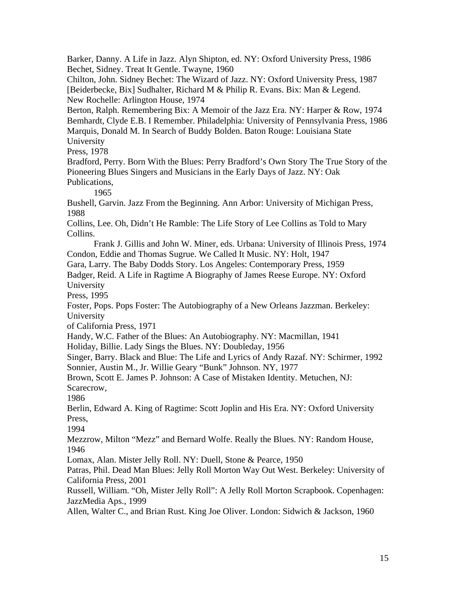Barker, Danny. A Life in Jazz. Alyn Shipton, ed. NY: Oxford University Press, 1986 Bechet, Sidney. Treat It Gentle. Twayne, 1960

Chilton, John. Sidney Bechet: The Wizard of Jazz. NY: Oxford University Press, 1987 [Beiderbecke, Bix] Sudhalter, Richard M & Philip R. Evans. Bix: Man & Legend. New Rochelle: Arlington House, 1974

Berton, Ralph. Remembering Bix: A Memoir of the Jazz Era. NY: Harper & Row, 1974 Bemhardt, Clyde E.B. I Remember. Philadelphia: University of Pennsylvania Press, 1986 Marquis, Donald M. In Search of Buddy Bolden. Baton Rouge: Louisiana State University

Press, 1978

Bradford, Perry. Born With the Blues: Perry Bradford's Own Story The True Story of the Pioneering Blues Singers and Musicians in the Early Days of Jazz. NY: Oak Publications,

1965

Bushell, Garvin. Jazz From the Beginning. Ann Arbor: University of Michigan Press, 1988

Collins, Lee. Oh, Didn't He Ramble: The Life Story of Lee Collins as Told to Mary Collins.

 Frank J. Gillis and John W. Miner, eds. Urbana: University of Illinois Press, 1974 Condon, Eddie and Thomas Sugrue. We Called It Music. NY: Holt, 1947

Gara, Larry. The Baby Dodds Story. Los Angeles: Contemporary Press, 1959

Badger, Reid. A Life in Ragtime A Biography of James Reese Europe. NY: Oxford University

Press, 1995

Foster, Pops. Pops Foster: The Autobiography of a New Orleans Jazzman. Berkeley: University

of California Press, 1971

Handy, W.C. Father of the Blues: An Autobiography. NY: Macmillan, 1941

Holiday, Billie. Lady Sings the Blues. NY: Doubleday, 1956

Singer, Barry. Black and Blue: The Life and Lyrics of Andy Razaf. NY: Schirmer, 1992 Sonnier, Austin M., Jr. Willie Geary "Bunk" Johnson. NY, 1977

Brown, Scott E. James P. Johnson: A Case of Mistaken Identity. Metuchen, NJ: Scarecrow,

1986

Berlin, Edward A. King of Ragtime: Scott Joplin and His Era. NY: Oxford University Press,

1994

Mezzrow, Milton "Mezz" and Bernard Wolfe. Really the Blues. NY: Random House, 1946

Lomax, Alan. Mister Jelly Roll. NY: Duell, Stone & Pearce, 1950

Patras, Phil. Dead Man Blues: Jelly Roll Morton Way Out West. Berkeley: University of California Press, 2001

Russell, William. "Oh, Mister Jelly Roll": A Jelly Roll Morton Scrapbook. Copenhagen: JazzMedia Aps., 1999

Allen, Walter C., and Brian Rust. King Joe Oliver. London: Sidwich & Jackson, 1960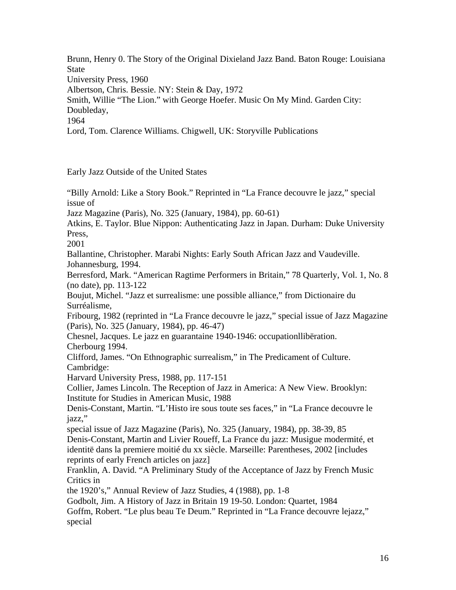Brunn, Henry 0. The Story of the Original Dixieland Jazz Band. Baton Rouge: Louisiana State University Press, 1960 Albertson, Chris. Bessie. NY: Stein & Day, 1972 Smith, Willie "The Lion." with George Hoefer. Music On My Mind. Garden City: Doubleday, 1964 Lord, Tom. Clarence Williams. Chigwell, UK: Storyville Publications

Early Jazz Outside of the United States

"Billy Arnold: Like a Story Book." Reprinted in "La France decouvre le jazz," special issue of

Jazz Magazine (Paris), No. 325 (January, 1984), pp. 60-61)

Atkins, E. Taylor. Blue Nippon: Authenticating Jazz in Japan. Durham: Duke University Press,

2001

Ballantine, Christopher. Marabi Nights: Early South African Jazz and Vaudeville. Johannesburg, 1994.

Berresford, Mark. "American Ragtime Performers in Britain," 78 Quarterly, Vol. 1, No. 8 (no date), pp. 113-122

Boujut, Michel. "Jazz et surrealisme: une possible alliance," from Dictionaire du Surréalisme,

Fribourg, 1982 (reprinted in "La France decouvre le jazz," special issue of Jazz Magazine (Paris), No. 325 (January, 1984), pp. 46-47)

Chesnel, Jacques. Le jazz en guarantaine 1940-1946: occupationllibëration. Cherbourg 1994.

Clifford, James. "On Ethnographic surrealism," in The Predicament of Culture. Cambridge:

Harvard University Press, 1988, pp. 117-151

Collier, James Lincoln. The Reception of Jazz in America: A New View. Brooklyn: Institute for Studies in American Music, 1988

Denis-Constant, Martin. "L'Histo ire sous toute ses faces," in "La France decouvre le jazz,"

special issue of Jazz Magazine (Paris), No. 325 (January, 1984), pp. 38-39, 85 Denis-Constant, Martin and Livier Roueff, La France du jazz: Musigue modermité, et identitë dans la premiere moitié du xx siècle. Marseille: Parentheses, 2002 [includes reprints of early French articles on jazz]

Franklin, A. David. "A Preliminary Study of the Acceptance of Jazz by French Music Critics in

the 1920's," Annual Review of Jazz Studies, 4 (1988), pp. 1-8

Godbolt, Jim. A History of Jazz in Britain 19 19-50. London: Quartet, 1984

Goffm, Robert. "Le plus beau Te Deum." Reprinted in "La France decouvre lejazz," special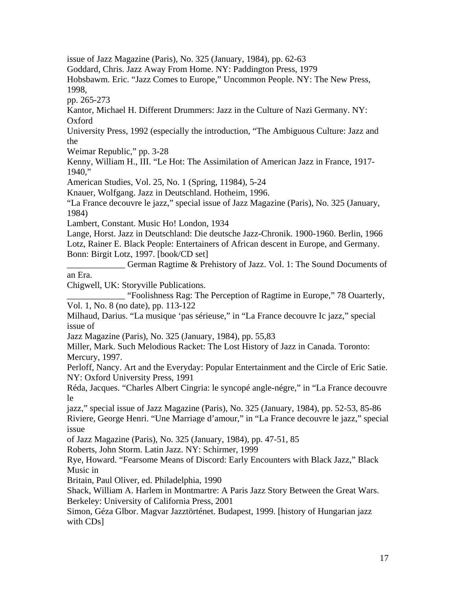issue of Jazz Magazine (Paris), No. 325 (January, 1984), pp. 62-63

Goddard, Chris. Jazz Away From Home. NY: Paddington Press, 1979

Hobsbawm. Eric. "Jazz Comes to Europe," Uncommon People. NY: The New Press, 1998,

pp. 265-273

Kantor, Michael H. Different Drummers: Jazz in the Culture of Nazi Germany. NY: Oxford

University Press, 1992 (especially the introduction, "The Ambiguous Culture: Jazz and the

Weimar Republic," pp. 3-28

Kenny, William H., III. "Le Hot: The Assimilation of American Jazz in France, 1917- 1940,"

American Studies, Vol. 25, No. 1 (Spring, 11984), 5-24

Knauer, Wolfgang. Jazz in Deutschland. Hotheim, 1996.

"La France decouvre le jazz," special issue of Jazz Magazine (Paris), No. 325 (January, 1984)

Lambert, Constant. Music Ho! London, 1934

Lange, Horst. Jazz in Deutschland: Die deutsche Jazz-Chronik. 1900-1960. Berlin, 1966 Lotz, Rainer E. Black People: Entertainers of African descent in Europe, and Germany. Bonn: Birgit Lotz, 1997. [book/CD set]

\_\_\_\_\_\_\_\_\_\_\_\_\_ German Ragtime & Prehistory of Jazz. Vol. 1: The Sound Documents of an Era.

Chigwell, UK: Storyville Publications.

\_\_\_\_\_\_\_\_\_\_\_\_\_ "Foolishness Rag: The Perception of Ragtime in Europe," 78 Ouarterly, Vol. 1, No. 8 (no date), pp. 113-122

Milhaud, Darius. "La musique 'pas sérieuse," in "La France decouvre Ic jazz," special issue of

Jazz Magazine (Paris), No. 325 (January, 1984), pp. 55,83

Miller, Mark. Such Melodious Racket: The Lost History of Jazz in Canada. Toronto: Mercury, 1997.

Perloff, Nancy. Art and the Everyday: Popular Entertainment and the Circle of Eric Satie. NY: Oxford University Press, 1991

Réda, Jacques. "Charles Albert Cingria: le syncopé angle-négre," in "La France decouvre le

jazz," special issue of Jazz Magazine (Paris), No. 325 (January, 1984), pp. 52-53, 85-86 Riviere, George Henri. "Une Marriage d'amour," in "La France decouvre le jazz," special issue

of Jazz Magazine (Paris), No. 325 (January, 1984), pp. 47-51, 85

Roberts, John Storm. Latin Jazz. NY: Schirmer, 1999

Rye, Howard. "Fearsome Means of Discord: Early Encounters with Black Jazz," Black Music in

Britain, Paul Oliver, ed. Philadelphia, 1990

Shack, William A. Harlem in Montmartre: A Paris Jazz Story Between the Great Wars. Berkeley: University of California Press, 2001

Simon, Géza Glbor. Magvar Jazztörténet. Budapest, 1999. [history of Hungarian jazz with CDs]